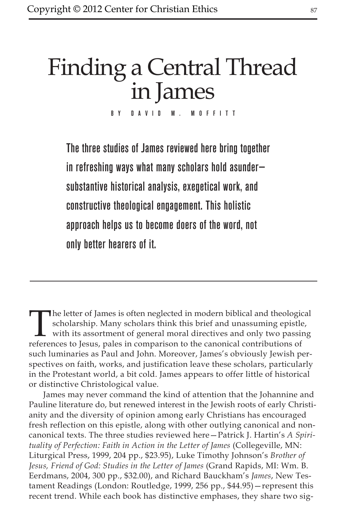# Finding a Central Thread in James

BY DAVID M. MOFFITT

The three studies of James reviewed here bring together in refreshing ways what many scholars hold asunder substantive historical analysis, exegetical work, and constructive theological engagement. This holistic approach helps us to become doers of the word, not only better hearers of it.

The letter of James is often neglected in modern biblical and theological scholarship. Many scholars think this brief and unassuming epistle, with its assortment of general moral directives and only two passing references scholarship. Many scholars think this brief and unassuming epistle, with its assortment of general moral directives and only two passing references to Jesus, pales in comparison to the canonical contributions of such luminaries as Paul and John. Moreover, James's obviously Jewish perspectives on faith, works, and justification leave these scholars, particularly in the Protestant world, a bit cold. James appears to offer little of historical or distinctive Christological value.

James may never command the kind of attention that the Johannine and Pauline literature do, but renewed interest in the Jewish roots of early Christianity and the diversity of opinion among early Christians has encouraged fresh reflection on this epistle, along with other outlying canonical and noncanonical texts. The three studies reviewed here—Patrick J. Hartin's *A Spirituality of Perfection: Faith in Action in the Letter of James* (Collegeville, MN: Liturgical Press, 1999, 204 pp., \$23.95), Luke Timothy Johnson's *Brother of Jesus, Friend of God: Studies in the Letter of James* (Grand Rapids, MI: Wm. B. Eerdmans, 2004, 300 pp., \$32.00), and Richard Bauckham's *James*, New Testament Readings (London: Routledge, 1999, 256 pp., \$44.95)—represent this recent trend. While each book has distinctive emphases, they share two sig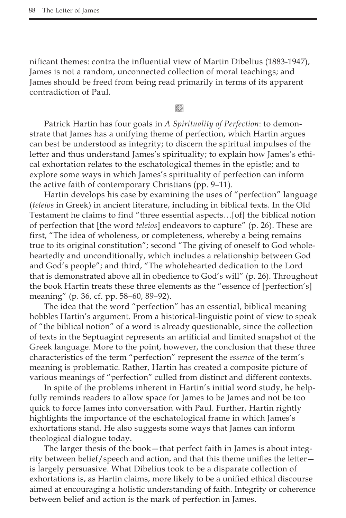nificant themes: contra the influential view of Martin Dibelius (1883-1947), James is not a random, unconnected collection of moral teachings; and James should be freed from being read primarily in terms of its apparent contradiction of Paul.

**Keep** 

Patrick Hartin has four goals in *A Spirituality of Perfection*: to demonstrate that James has a unifying theme of perfection, which Hartin argues can best be understood as integrity; to discern the spiritual impulses of the letter and thus understand James's spirituality; to explain how James's ethical exhortation relates to the eschatological themes in the epistle; and to explore some ways in which James's spirituality of perfection can inform the active faith of contemporary Christians (pp. 9–11).

Hartin develops his case by examining the uses of "perfection" language (*teleios* in Greek) in ancient literature, including in biblical texts. In the Old Testament he claims to find "three essential aspects…[of] the biblical notion of perfection that [the word *teleios*] endeavors to capture" (p. 26). These are first, "The idea of wholeness, or completeness, whereby a being remains true to its original constitution"; second "The giving of oneself to God wholeheartedly and unconditionally, which includes a relationship between God and God's people"; and third, "The wholehearted dedication to the Lord that is demonstrated above all in obedience to God's will" (p. 26). Throughout the book Hartin treats these three elements as the "essence of [perfection's] meaning" (p. 36, cf. pp. 58–60, 89–92).

The idea that the word "perfection" has an essential, biblical meaning hobbles Hartin's argument. From a historical-linguistic point of view to speak of "the biblical notion" of a word is already questionable, since the collection of texts in the Septuagint represents an artificial and limited snapshot of the Greek language. More to the point, however, the conclusion that these three characteristics of the term "perfection" represent the *essence* of the term's meaning is problematic. Rather, Hartin has created a composite picture of various meanings of "perfection" culled from distinct and different contexts.

In spite of the problems inherent in Hartin's initial word study, he helpfully reminds readers to allow space for James to be James and not be too quick to force James into conversation with Paul. Further, Hartin rightly highlights the importance of the eschatological frame in which James's exhortations stand. He also suggests some ways that James can inform theological dialogue today.

The larger thesis of the book—that perfect faith in James is about integrity between belief/speech and action, and that this theme unifies the letter is largely persuasive. What Dibelius took to be a disparate collection of exhortations is, as Hartin claims, more likely to be a unified ethical discourse aimed at encouraging a holistic understanding of faith. Integrity or coherence between belief and action is the mark of perfection in James.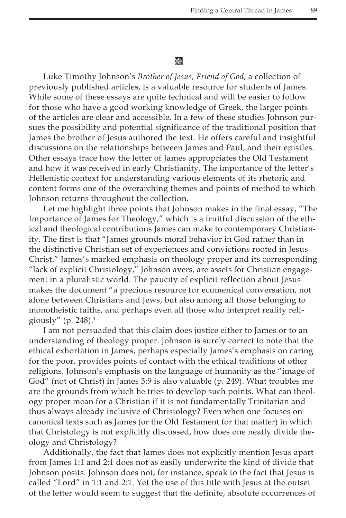## **翻**

Luke Timothy Johnson's *Brother of Jesus, Friend of God*, a collection of previously published articles, is a valuable resource for students of James. While some of these essays are quite technical and will be easier to follow for those who have a good working knowledge of Greek, the larger points of the articles are clear and accessible. In a few of these studies Johnson pursues the possibility and potential significance of the traditional position that James the brother of Jesus authored the text. He offers careful and insightful discussions on the relationships between James and Paul, and their epistles. Other essays trace how the letter of James appropriates the Old Testament and how it was received in early Christianity. The importance of the letter's Hellenistic context for understanding various elements of its rhetoric and content forms one of the overarching themes and points of method to which Johnson returns throughout the collection.

Let me highlight three points that Johnson makes in the final essay, "The Importance of James for Theology," which is a fruitful discussion of the ethical and theological contributions James can make to contemporary Christianity. The first is that "James grounds moral behavior in God rather than in the distinctive Christian set of experiences and convictions rooted in Jesus Christ." James's marked emphasis on theology proper and its corresponding "lack of explicit Christology," Johnson avers, are assets for Christian engagement in a pluralistic world. The paucity of explicit reflection about Jesus makes the document "a precious resource for ecumenical conversation, not alone between Christians and Jews, but also among all those belonging to monotheistic faiths, and perhaps even all those who interpret reality religiously" (p. 248).<sup>1</sup>

I am not persuaded that this claim does justice either to James or to an understanding of theology proper. Johnson is surely correct to note that the ethical exhortation in James, perhaps especially James's emphasis on caring for the poor, provides points of contact with the ethical traditions of other religions. Johnson's emphasis on the language of humanity as the "image of God" (not of Christ) in James 3:9 is also valuable (p. 249). What troubles me are the grounds from which he tries to develop such points. What can theology proper mean for a Christian if it is not fundamentally Trinitarian and thus always already inclusive of Christology? Even when one focuses on canonical texts such as James (or the Old Testament for that matter) in which that Christology is not explicitly discussed, how does one neatly divide theology and Christology?

Additionally, the fact that James does not explicitly mention Jesus apart from James 1:1 and 2:1 does not as easily underwrite the kind of divide that Johnson posits. Johnson does not, for instance, speak to the fact that Jesus is called "Lord" in 1:1 and 2:1. Yet the use of this title with Jesus at the outset of the letter would seem to suggest that the definite, absolute occurrences of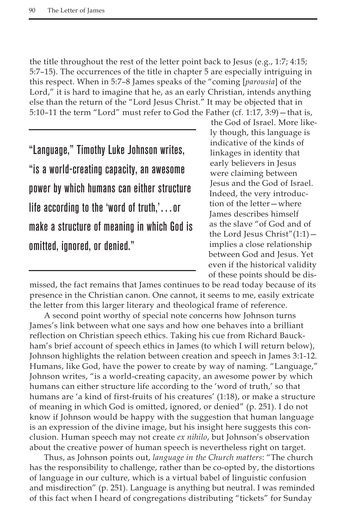the title throughout the rest of the letter point back to Jesus (e.g., 1:7; 4:15; 5:7–15). The occurrences of the title in chapter 5 are especially intriguing in this respect. When in 5:7–8 James speaks of the "coming [*parousia*] of the Lord," it is hard to imagine that he, as an early Christian, intends anything else than the return of the "Lord Jesus Christ." It may be objected that in 5:10–11 the term "Lord" must refer to God the Father (cf. 1:17, 3:9) – that is,

"Language," Timothy Luke Johnson writes, "is a world-creating capacity, an awesome power by which humans can either structure life according to the 'word of truth,'…or make a structure of meaning in which God is omitted, ignored, or denied."

the God of Israel. More likely though, this language is indicative of the kinds of linkages in identity that early believers in Jesus were claiming between Jesus and the God of Israel. Indeed, the very introduction of the letter—where James describes himself as the slave "of God and of the Lord Jesus Christ"(1:1) implies a close relationship between God and Jesus. Yet even if the historical validity of these points should be dis-

missed, the fact remains that James continues to be read today because of its presence in the Christian canon. One cannot, it seems to me, easily extricate the letter from this larger literary and theological frame of reference.

A second point worthy of special note concerns how Johnson turns James's link between what one says and how one behaves into a brilliant reflection on Christian speech ethics. Taking his cue from Richard Bauckham's brief account of speech ethics in James (to which I will return below), Johnson highlights the relation between creation and speech in James 3:1-12. Humans, like God, have the power to create by way of naming. "Language," Johnson writes, "is a world-creating capacity, an awesome power by which humans can either structure life according to the 'word of truth,' so that humans are 'a kind of first-fruits of his creatures' (1:18), or make a structure of meaning in which God is omitted, ignored, or denied" (p. 251). I do not know if Johnson would be happy with the suggestion that human language is an expression of the divine image, but his insight here suggests this conclusion. Human speech may not create *ex nihilo*, but Johnson's observation about the creative power of human speech is nevertheless right on target.

Thus, as Johnson points out, *language in the Church matters*: "The church has the responsibility to challenge, rather than be co-opted by, the distortions of language in our culture, which is a virtual babel of linguistic confusion and misdirection" (p. 251). Language is anything but neutral. I was reminded of this fact when I heard of congregations distributing "tickets" for Sunday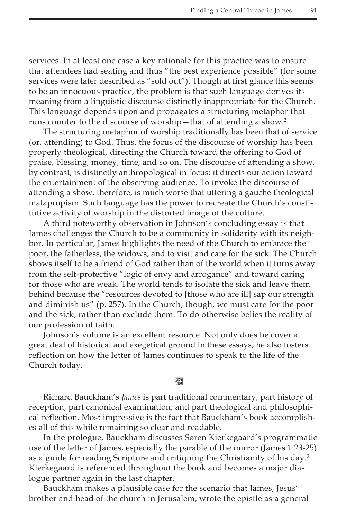services. In at least one case a key rationale for this practice was to ensure that attendees had seating and thus "the best experience possible" (for some services were later described as "sold out"). Though at first glance this seems to be an innocuous practice, the problem is that such language derives its meaning from a linguistic discourse distinctly inappropriate for the Church. This language depends upon and propagates a structuring metaphor that runs counter to the discourse of worship—that of attending a show.<sup>2</sup>

The structuring metaphor of worship traditionally has been that of service (or, attending) to God. Thus, the focus of the discourse of worship has been properly theological, directing the Church toward the offering to God of praise, blessing, money, time, and so on. The discourse of attending a show, by contrast, is distinctly anthropological in focus: it directs our action toward the entertainment of the observing audience. To invoke the discourse of attending a show, therefore, is much worse that uttering a gauche theological malapropism. Such language has the power to recreate the Church's constitutive activity of worship in the distorted image of the culture.

A third noteworthy observation in Johnson's concluding essay is that James challenges the Church to be a community in solidarity with its neighbor. In particular, James highlights the need of the Church to embrace the poor, the fatherless, the widows, and to visit and care for the sick. The Church shows itself to be a friend of God rather than of the world when it turns away from the self-protective "logic of envy and arrogance" and toward caring for those who are weak. The world tends to isolate the sick and leave them behind because the "resources devoted to [those who are ill] sap our strength and diminish us" (p. 257). In the Church, though, we must care for the poor and the sick, rather than exclude them. To do otherwise belies the reality of our profession of faith.

Johnson's volume is an excellent resource. Not only does he cover a great deal of historical and exegetical ground in these essays, he also fosters reflection on how the letter of James continues to speak to the life of the Church today.

## **Keep**

Richard Bauckham's *James* is part traditional commentary, part history of reception, part canonical examination, and part theological and philosophical reflection. Most impressive is the fact that Bauckham's book accomplishes all of this while remaining so clear and readable.

In the prologue, Bauckham discusses Søren Kierkegaard's programmatic use of the letter of James, especially the parable of the mirror (James 1:23-25) as a guide for reading Scripture and critiquing the Christianity of his day.<sup>3</sup> Kierkegaard is referenced throughout the book and becomes a major dialogue partner again in the last chapter.

Bauckham makes a plausible case for the scenario that James, Jesus' brother and head of the church in Jerusalem, wrote the epistle as a general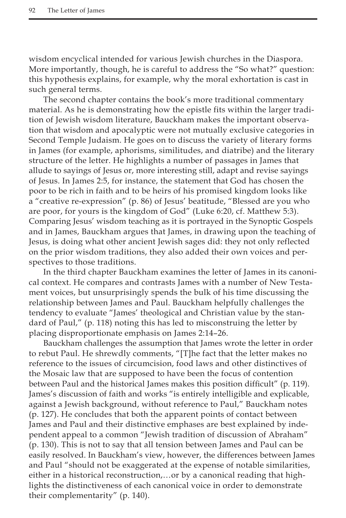wisdom encyclical intended for various Jewish churches in the Diaspora. More importantly, though, he is careful to address the "So what?" question: this hypothesis explains, for example, why the moral exhortation is cast in such general terms.

The second chapter contains the book's more traditional commentary material. As he is demonstrating how the epistle fits within the larger tradition of Jewish wisdom literature, Bauckham makes the important observation that wisdom and apocalyptic were not mutually exclusive categories in Second Temple Judaism. He goes on to discuss the variety of literary forms in James (for example, aphorisms, similitudes, and diatribe) and the literary structure of the letter. He highlights a number of passages in James that allude to sayings of Jesus or, more interesting still, adapt and revise sayings of Jesus. In James 2:5, for instance, the statement that God has chosen the poor to be rich in faith and to be heirs of his promised kingdom looks like a "creative re-expression" (p. 86) of Jesus' beatitude, "Blessed are you who are poor, for yours is the kingdom of God" (Luke 6:20, cf. Matthew 5:3). Comparing Jesus' wisdom teaching as it is portrayed in the Synoptic Gospels and in James, Bauckham argues that James, in drawing upon the teaching of Jesus, is doing what other ancient Jewish sages did: they not only reflected on the prior wisdom traditions, they also added their own voices and perspectives to those traditions.

In the third chapter Bauckham examines the letter of James in its canonical context. He compares and contrasts James with a number of New Testament voices, but unsurprisingly spends the bulk of his time discussing the relationship between James and Paul. Bauckham helpfully challenges the tendency to evaluate "James' theological and Christian value by the standard of Paul," (p. 118) noting this has led to misconstruing the letter by placing disproportionate emphasis on James 2:14–26.

Bauckham challenges the assumption that James wrote the letter in order to rebut Paul. He shrewdly comments, "[T]he fact that the letter makes no reference to the issues of circumcision, food laws and other distinctives of the Mosaic law that are supposed to have been the focus of contention between Paul and the historical James makes this position difficult" (p. 119). James's discussion of faith and works "is entirely intelligible and explicable, against a Jewish background, without reference to Paul," Bauckham notes (p. 127). He concludes that both the apparent points of contact between James and Paul and their distinctive emphases are best explained by independent appeal to a common "Jewish tradition of discussion of Abraham" (p. 130). This is not to say that all tension between James and Paul can be easily resolved. In Bauckham's view, however, the differences between James and Paul "should not be exaggerated at the expense of notable similarities, either in a historical reconstruction,…or by a canonical reading that highlights the distinctiveness of each canonical voice in order to demonstrate their complementarity" (p. 140).